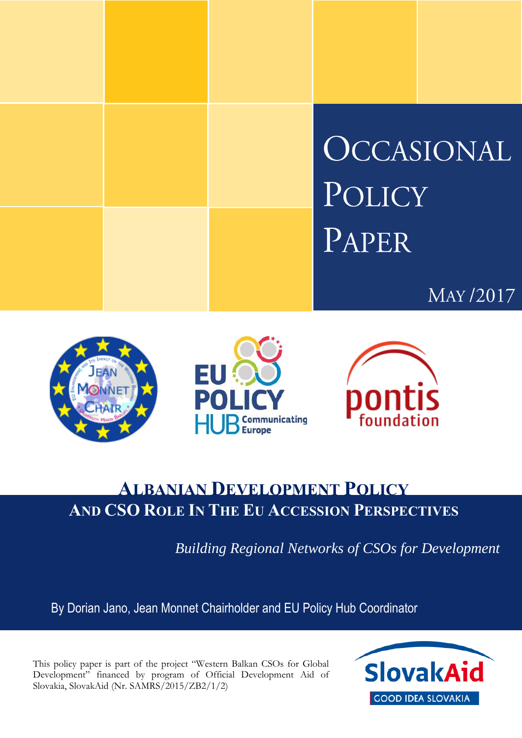









# **ALBANIAN DEVELOPMENT POLICY AND CSO ROLE IN THE EU ACCESSION PERSPECTIVES**

*Building Regional Networks of CSOs for Development*

By Dorian Jano, Jean Monnet Chairholder and EU Policy Hub Coordinator

This policy paper is part of the project "Western Balkan CSOs for Global Development" financed by program of Official Development Aid of Slovakia, SlovakAid (Nr. SAMRS/2015/ZB2/1/2)

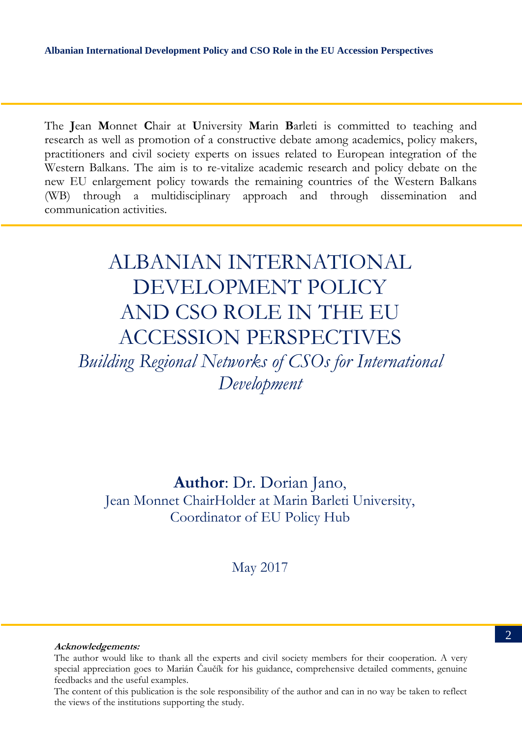The **J**ean **M**onnet **C**hair at **U**niversity **M**arin **B**arleti is committed to teaching and research as well as promotion of a constructive debate among academics, policy makers, practitioners and civil society experts on issues related to European integration of the Western Balkans. The aim is to re-vitalize academic research and policy debate on the new EU enlargement policy towards the remaining countries of the Western Balkans (WB) through a multidisciplinary approach and through dissemination and communication activities.

# ALBANIAN INTERNATIONAL DEVELOPMENT POLICY AND CSO ROLE IN THE EU ACCESSION PERSPECTIVES

*Building Regional Networks of CSOs for International Development*

**Author**: Dr. Dorian Jano, Jean Monnet ChairHolder at Marin Barleti University, Coordinator of EU Policy Hub

May 2017

#### **Acknowledgements:**

The content of this publication is the sole responsibility of the author and can in no way be taken to reflect<br>the views of the institutions supporting the study. the views of the institutions supporting the study.

The author would like to thank all the experts and civil society members for their cooperation. A very special appreciation goes to Marián Čaučík for his guidance, comprehensive detailed comments, genuine feedbacks and the useful examples.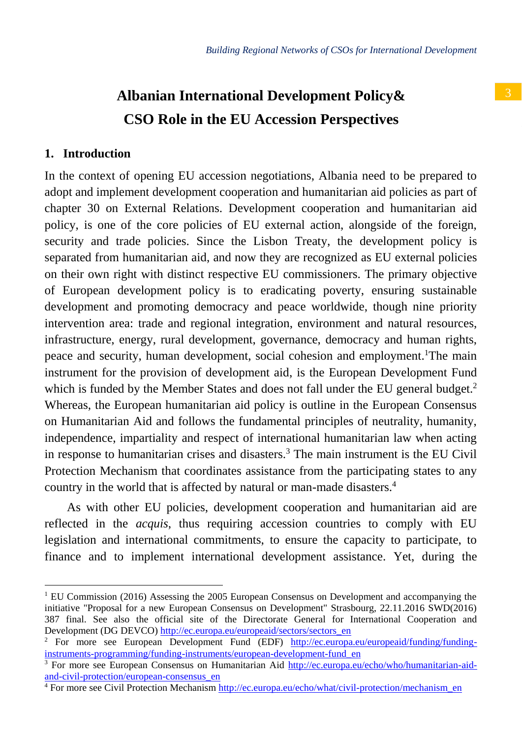## **1. Introduction**

 $\overline{a}$ 

In the context of opening EU accession negotiations, Albania need to be prepared to adopt and implement development cooperation and humanitarian aid policies as part of chapter 30 on External Relations. Development cooperation and humanitarian aid policy, is one of the core policies of EU external action, alongside of the foreign, security and trade policies. Since the Lisbon Treaty, the development policy is separated from humanitarian aid, and now they are recognized as EU external policies on their own right with distinct respective EU commissioners. The primary objective of European development policy is to eradicating poverty, ensuring sustainable development and promoting democracy and peace worldwide, though nine priority intervention area: trade and regional integration, environment and natural resources, infrastructure, energy, rural development, governance, democracy and human rights, peace and security, human development, social cohesion and employment. <sup>1</sup>The main instrument for the provision of development aid, is the European Development Fund which is funded by the Member States and does not fall under the EU general budget.<sup>2</sup> Whereas, the European humanitarian aid policy is outline in the European Consensus on Humanitarian Aid and follows the fundamental principles of neutrality, humanity, independence, impartiality and respect of international humanitarian law when acting in response to humanitarian crises and disasters.<sup>3</sup> The main instrument is the EU Civil Protection Mechanism that coordinates assistance from the participating states to any country in the world that is affected by natural or man-made disasters.<sup>4</sup>

As with other EU policies, development cooperation and humanitarian aid are reflected in the *acquis*, thus requiring accession countries to comply with EU legislation and international commitments, to ensure the capacity to participate, to finance and to implement international development assistance. Yet, during the

 $1$  EU Commission (2016) Assessing the 2005 European Consensus on Development and accompanying the initiative "Proposal for a new European Consensus on Development" Strasbourg, 22.11.2016 SWD(2016) 387 final. See also the official site of the Directorate General for International Cooperation and Development (DG DEVCO[\) http://ec.europa.eu/europeaid/sectors/sectors\\_en](http://ec.europa.eu/europeaid/sectors/sectors_en)

<sup>&</sup>lt;sup>2</sup> For more see European Development Fund (EDF) [http://ec.europa.eu/europeaid/funding/funding](http://ec.europa.eu/europeaid/funding/funding-instruments-programming/funding-instruments/european-development-fund_en)[instruments-programming/funding-instruments/european-development-fund\\_en](http://ec.europa.eu/europeaid/funding/funding-instruments-programming/funding-instruments/european-development-fund_en)

<sup>&</sup>lt;sup>3</sup> For more see European Consensus on Humanitarian Aid [http://ec.europa.eu/echo/who/humanitarian-aid](http://ec.europa.eu/echo/who/humanitarian-aid-and-civil-protection/european-consensus_en)[and-civil-protection/european-consensus\\_en](http://ec.europa.eu/echo/who/humanitarian-aid-and-civil-protection/european-consensus_en)

<sup>4</sup> For more see Civil Protection Mechanis[m http://ec.europa.eu/echo/what/civil-protection/mechanism\\_en](http://ec.europa.eu/echo/what/civil-protection/mechanism_en)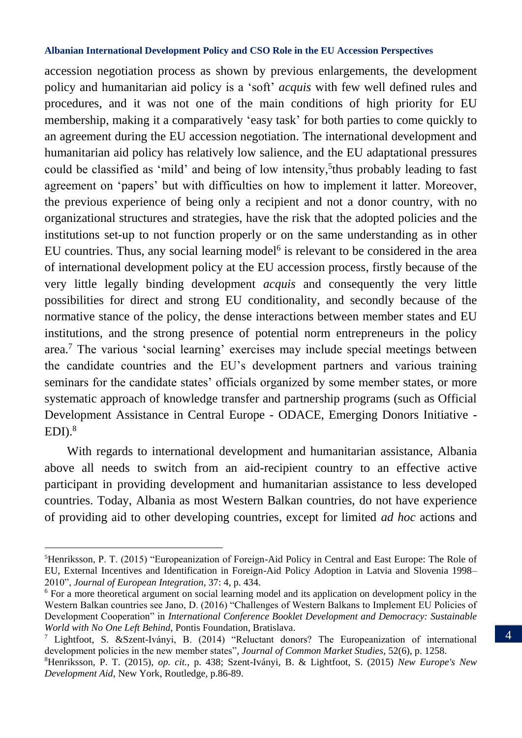accession negotiation process as shown by previous enlargements, the development policy and humanitarian aid policy is a 'soft' *acquis* with few well defined rules and procedures, and it was not one of the main conditions of high priority for EU membership, making it a comparatively 'easy task' for both parties to come quickly to an agreement during the EU accession negotiation. The international development and humanitarian aid policy has relatively low salience, and the EU adaptational pressures could be classified as 'mild' and being of low intensity, 5 thus probably leading to fast agreement on 'papers' but with difficulties on how to implement it latter. Moreover, the previous experience of being only a recipient and not a donor country, with no organizational structures and strategies, have the risk that the adopted policies and the institutions set-up to not function properly or on the same understanding as in other EU countries. Thus, any social learning model<sup>6</sup> is relevant to be considered in the area of international development policy at the EU accession process, firstly because of the very little legally binding development *acquis* and consequently the very little possibilities for direct and strong EU conditionality, and secondly because of the normative stance of the policy, the dense interactions between member states and EU institutions, and the strong presence of potential norm entrepreneurs in the policy area.<sup>7</sup> The various 'social learning' exercises may include special meetings between the candidate countries and the EU's development partners and various training seminars for the candidate states' officials organized by some member states, or more systematic approach of knowledge transfer and partnership programs (such as Official Development Assistance in Central Europe - ODACE, Emerging Donors Initiative - EDI). 8

With regards to international development and humanitarian assistance, Albania above all needs to switch from an aid-recipient country to an effective active participant in providing development and humanitarian assistance to less developed countries. Today, Albania as most Western Balkan countries, do not have experience of providing aid to other developing countries, except for limited *ad hoc* actions and

<sup>5</sup>Henriksson, P. T. (2015) "Europeanization of Foreign-Aid Policy in Central and East Europe: The Role of EU, External Incentives and Identification in Foreign-Aid Policy Adoption in Latvia and Slovenia 1998– 2010", *Journal of European Integration*, 37: 4, p. 434.

<sup>6</sup> For a more theoretical argument on social learning model and its application on development policy in the Western Balkan countries see Jano, D. (2016) "Challenges of Western Balkans to Implement EU Policies of Development Cooperation" in *International Conference Booklet Development and Democracy: Sustainable World with No One Left Behind,* Pontis Foundation, Bratislava.

<sup>7</sup> Lightfoot, S. &Szent-Iványi, B. (2014) "Reluctant donors? The Europeanization of international development policies in the new member states", *Journal of Common Market Studies*, 52(6), p. 1258.

<sup>8</sup>Henriksson, P. T. (2015), *op. cit.*, p. 438; Szent-Iványi, B. & Lightfoot, S. (2015) *New Europe's New Development Aid,* New York, Routledge, p.86-89.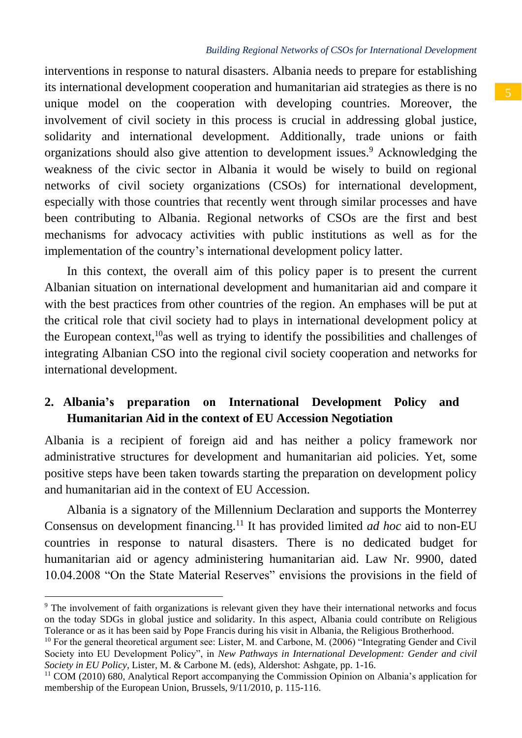## *Building Regional Networks of CSOs for International Development*

interventions in response to natural disasters. Albania needs to prepare for establishing its international development cooperation and humanitarian aid strategies as there is no unique model on the cooperation with developing countries. Moreover, the involvement of civil society in this process is crucial in addressing global justice, solidarity and international development. Additionally, trade unions or faith organizations should also give attention to development issues.<sup>9</sup> Acknowledging the weakness of the civic sector in Albania it would be wisely to build on regional networks of civil society organizations (CSOs) for international development, especially with those countries that recently went through similar processes and have been contributing to Albania. Regional networks of CSOs are the first and best mechanisms for advocacy activities with public institutions as well as for the implementation of the country's international development policy latter.

In this context, the overall aim of this policy paper is to present the current Albanian situation on international development and humanitarian aid and compare it with the best practices from other countries of the region. An emphases will be put at the critical role that civil society had to plays in international development policy at the European context,<sup>10</sup>as well as trying to identify the possibilities and challenges of integrating Albanian CSO into the regional civil society cooperation and networks for international development.

## **2. Albania's preparation on International Development Policy and Humanitarian Aid in the context of EU Accession Negotiation**

Albania is a recipient of foreign aid and has neither a policy framework nor administrative structures for development and humanitarian aid policies. Yet, some positive steps have been taken towards starting the preparation on development policy and humanitarian aid in the context of EU Accession.

Albania is a signatory of the Millennium Declaration and supports the Monterrey Consensus on development financing.<sup>11</sup> It has provided limited *ad hoc* aid to non-EU countries in response to natural disasters. There is no dedicated budget for humanitarian aid or agency administering humanitarian aid. Law Nr. 9900, dated 10.04.2008 "On the State Material Reserves" envisions the provisions in the field of

<sup>9</sup> The involvement of faith organizations is relevant given they have their international networks and focus on the today SDGs in global justice and solidarity. In this aspect, Albania could contribute on Religious Tolerance or as it has been said by Pope Francis during his visit in Albania, the Religious Brotherhood.

<sup>10</sup> For the general theoretical argument see: Lister, M. and Carbone, M. (2006) "Integrating Gender and Civil Society into EU Development Policy", in *New Pathways in International Development: Gender and civil Society in EU Policy*, Lister, M. & Carbone M. (eds), Aldershot: Ashgate, pp. 1-16.

 $11$  COM (2010) 680, Analytical Report accompanying the Commission Opinion on Albania's application for membership of the European Union, Brussels, 9/11/2010, p. 115-116.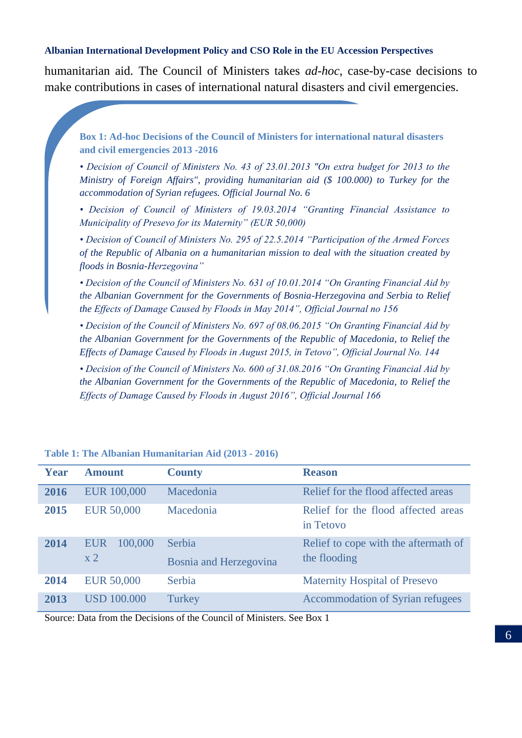humanitarian aid. The Council of Ministers takes *ad-hoc*, case-by-case decisions to make contributions in cases of international natural disasters and civil emergencies.

<span id="page-5-0"></span>**Box 1: Ad-hoc Decisions of the Council of Ministers for international natural disasters and civil emergencies 2013 -2016**

*• Decision of Council of Ministers No. 43 of 23.01.2013 "On extra budget for 2013 to the Ministry of Foreign Affairs", providing humanitarian aid (\$ 100.000) to Turkey for the accommodation of Syrian refugees. Official Journal No. 6*

*• Decision of Council of Ministers of 19.03.2014 "Granting Financial Assistance to Municipality of Presevo for its Maternity" (EUR 50,000)*

*• Decision of Council of Ministers No. 295 of 22.5.2014 "Participation of the Armed Forces of the Republic of Albania on a humanitarian mission to deal with the situation created by floods in Bosnia-Herzegovina"*

*• Decision of the Council of Ministers No. 631 of 10.01.2014 "On Granting Financial Aid by the Albanian Government for the Governments of Bosnia-Herzegovina and Serbia to Relief the Effects of Damage Caused by Floods in May 2014", Official Journal no 156*

*• Decision of the Council of Ministers No. 697 of 08.06.2015 "On Granting Financial Aid by the Albanian Government for the Governments of the Republic of Macedonia, to Relief the Effects of Damage Caused by Floods in August 2015, in Tetovo", Official Journal No. 144*

*• Decision of the Council of Ministers No. 600 of 31.08.2016 "On Granting Financial Aid by the Albanian Government for the Governments of the Republic of Macedonia, to Relief the Effects of Damage Caused by Floods in August 2016", Official Journal 166*

| Year | <b>Amount</b>                           | <b>County</b>                    | <b>Reason</b>                                        |
|------|-----------------------------------------|----------------------------------|------------------------------------------------------|
| 2016 | <b>EUR 100,000</b>                      | Macedonia                        | Relief for the flood affected areas                  |
| 2015 | <b>EUR 50,000</b>                       | Macedonia                        | Relief for the flood affected areas<br>in Tetovo     |
| 2014 | 100,000<br><b>EUR</b><br>x <sub>2</sub> | Serbia<br>Bosnia and Herzegovina | Relief to cope with the aftermath of<br>the flooding |
| 2014 | <b>EUR 50,000</b>                       | Serbia                           | Maternity Hospital of Presevo                        |
| 2013 | <b>USD 100.000</b>                      | Turkey                           | Accommodation of Syrian refugees                     |

#### **Table 1: The Albanian Humanitarian Aid (2013 - 2016)**

Source: Data from the Decisions of the Council of Ministers. Se[e Box 1](#page-5-0)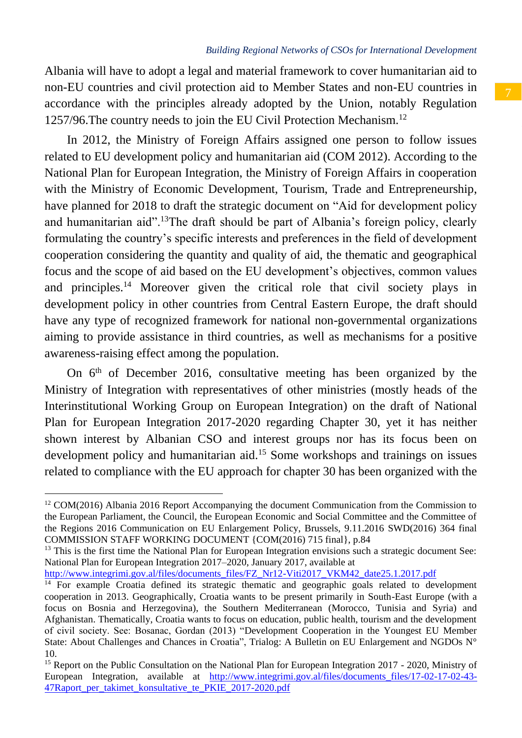Albania will have to adopt a legal and material framework to cover humanitarian aid to non-EU countries and civil protection aid to Member States and non-EU countries in accordance with the principles already adopted by the Union, notably Regulation 1257/96.The country needs to join the EU Civil Protection Mechanism.<sup>12</sup>

In 2012, the Ministry of Foreign Affairs assigned one person to follow issues related to EU development policy and humanitarian aid (COM 2012). According to the National Plan for European Integration, the Ministry of Foreign Affairs in cooperation with the Ministry of Economic Development, Tourism, Trade and Entrepreneurship, have planned for 2018 to draft the strategic document on "Aid for development policy and humanitarian aid".<sup>13</sup>The draft should be part of Albania's foreign policy, clearly formulating the country's specific interests and preferences in the field of development cooperation considering the quantity and quality of aid, the thematic and geographical focus and the scope of aid based on the EU development's objectives, common values and principles.<sup>14</sup> Moreover given the critical role that civil society plays in development policy in other countries from Central Eastern Europe, the draft should have any type of recognized framework for national non-governmental organizations aiming to provide assistance in third countries, as well as mechanisms for a positive awareness-raising effect among the population.

On 6<sup>th</sup> of December 2016, consultative meeting has been organized by the Ministry of Integration with representatives of other ministries (mostly heads of the Interinstitutional Working Group on European Integration) on the draft of National Plan for European Integration 2017-2020 regarding Chapter 30, yet it has neither shown interest by Albanian CSO and interest groups nor has its focus been on development policy and humanitarian aid.<sup>15</sup> Some workshops and trainings on issues related to compliance with the EU approach for chapter 30 has been organized with the

[http://www.integrimi.gov.al/files/documents\\_files/FZ\\_Nr12-Viti2017\\_VKM42\\_date25.1.2017.pdf](http://www.integrimi.gov.al/files/documents_files/FZ_Nr12-Viti2017_VKM42_date25.1.2017.pdf)

 $\overline{\phantom{a}}$ 

 $12$  COM(2016) Albania 2016 Report Accompanying the document Communication from the Commission to the European Parliament, the Council, the European Economic and Social Committee and the Committee of the Regions 2016 Communication on EU Enlargement Policy, Brussels, 9.11.2016 SWD(2016) 364 final COMMISSION STAFF WORKING DOCUMENT {COM(2016) 715 final}, p.84

<sup>&</sup>lt;sup>13</sup> This is the first time the National Plan for European Integration envisions such a strategic document See: National Plan for European Integration 2017–2020, January 2017, available at

<sup>&</sup>lt;sup>14</sup> For example Croatia defined its strategic thematic and geographic goals related to development cooperation in 2013. Geographically, Croatia wants to be present primarily in South-East Europe (with a focus on Bosnia and Herzegovina), the Southern Mediterranean (Morocco, Tunisia and Syria) and Afghanistan. Thematically, Croatia wants to focus on education, public health, tourism and the development of civil society. See: Bosanac, Gordan (2013) "Development Cooperation in the Youngest EU Member State: About Challenges and Chances in Croatia", Trialog: A Bulletin on EU Enlargement and NGDOs N° 10.

<sup>&</sup>lt;sup>15</sup> Report on the Public Consultation on the National Plan for European Integration 2017 - 2020, Ministry of European Integration, available at http://www.integrimi.gov.al/files/documents files/17-02-17-02-43-[47Raport\\_per\\_takimet\\_konsultative\\_te\\_PKIE\\_2017-2020.pdf](http://www.integrimi.gov.al/files/documents_files/17-02-17-02-43-47Raport_per_takimet_konsultative_te_PKIE_2017-2020.pdf)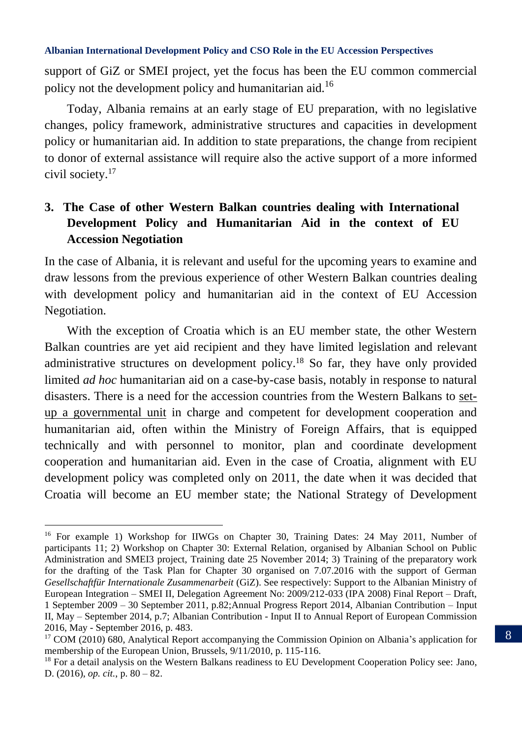support of GiZ or SMEI project, yet the focus has been the EU common commercial policy not the development policy and humanitarian aid.<sup>16</sup>

Today, Albania remains at an early stage of EU preparation, with no legislative changes, policy framework, administrative structures and capacities in development policy or humanitarian aid. In addition to state preparations, the change from recipient to donor of external assistance will require also the active support of a more informed civil society.<sup>17</sup>

## **3. The Case of other Western Balkan countries dealing with International Development Policy and Humanitarian Aid in the context of EU Accession Negotiation**

In the case of Albania, it is relevant and useful for the upcoming years to examine and draw lessons from the previous experience of other Western Balkan countries dealing with development policy and humanitarian aid in the context of EU Accession Negotiation.

With the exception of Croatia which is an EU member state, the other Western Balkan countries are yet aid recipient and they have limited legislation and relevant administrative structures on development policy.<sup>18</sup> So far, they have only provided limited *ad hoc* humanitarian aid on a case-by-case basis, notably in response to natural disasters. There is a need for the accession countries from the Western Balkans to setup a governmental unit in charge and competent for development cooperation and humanitarian aid, often within the Ministry of Foreign Affairs, that is equipped technically and with personnel to monitor, plan and coordinate development cooperation and humanitarian aid. Even in the case of Croatia, alignment with EU development policy was completed only on 2011, the date when it was decided that Croatia will become an EU member state; the National Strategy of Development

<sup>&</sup>lt;sup>16</sup> For example 1) Workshop for IIWGs on Chapter 30, Training Dates: 24 May 2011, Number of participants 11; 2) Workshop on Chapter 30: External Relation, organised by Albanian School on Public Administration and SMEI3 project, Training date 25 November 2014; 3) Training of the preparatory work for the drafting of the Task Plan for Chapter 30 organised on 7.07.2016 with the support of German *Gesellschaftfür Internationale Zusammenarbeit* (GiZ). See respectively: Support to the Albanian Ministry of European Integration – SMEI II, Delegation Agreement No: 2009/212-033 (IPA 2008) Final Report – Draft, 1 September 2009 – 30 September 2011, p.82;Annual Progress Report 2014, Albanian Contribution – Input II, May – September 2014, p.7; Albanian Contribution - Input II to Annual Report of European Commission 2016, May - September 2016, p. 483.

<sup>&</sup>lt;sup>17</sup> COM (2010) 680, Analytical Report accompanying the Commission Opinion on Albania's application for membership of the European Union, Brussels, 9/11/2010, p. 115-116.

 $18$  For a detail analysis on the Western Balkans readiness to EU Development Cooperation Policy see: Jano, D. (2016), *op. cit.*, p. 80 – 82.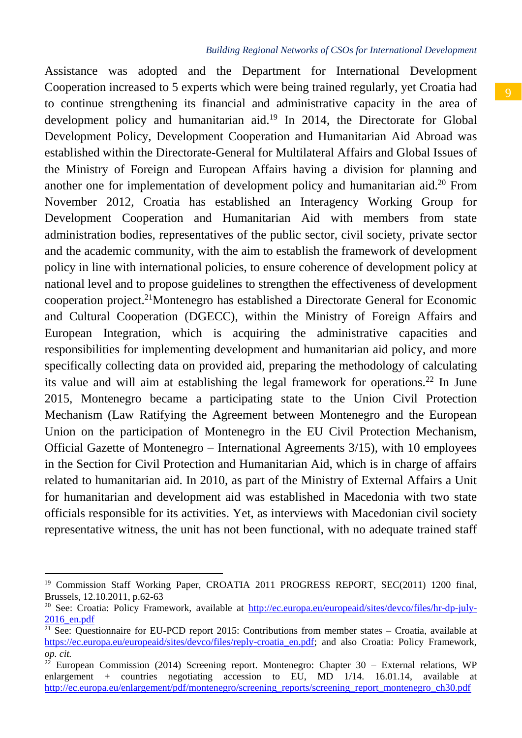## *Building Regional Networks of CSOs for International Development*

Assistance was adopted and the Department for International Development Cooperation increased to 5 experts which were being trained regularly, yet Croatia had to continue strengthening its financial and administrative capacity in the area of development policy and humanitarian aid. <sup>19</sup> In 2014, the Directorate for Global Development Policy, Development Cooperation and Humanitarian Aid Abroad was established within the Directorate-General for Multilateral Affairs and Global Issues of the Ministry of Foreign and European Affairs having a division for planning and another one for implementation of development policy and humanitarian aid.<sup>20</sup> From November 2012, Croatia has established an Interagency Working Group for Development Cooperation and Humanitarian Aid with members from state administration bodies, representatives of the public sector, civil society, private sector and the academic community, with the aim to establish the framework of development policy in line with international policies, to ensure coherence of development policy at national level and to propose guidelines to strengthen the effectiveness of development cooperation project.<sup>21</sup>Montenegro has established a Directorate General for Economic and Cultural Cooperation (DGECC), within the Ministry of Foreign Affairs and European Integration, which is acquiring the administrative capacities and responsibilities for implementing development and humanitarian aid policy, and more specifically collecting data on provided aid, preparing the methodology of calculating its value and will aim at establishing the legal framework for operations.<sup>22</sup> In June 2015, Montenegro became a participating state to the Union Civil Protection Mechanism (Law Ratifying the Agreement between Montenegro and the European Union on the participation of Montenegro in the EU Civil Protection Mechanism, Official Gazette of Montenegro – International Agreements 3/15), with 10 employees in the Section for Civil Protection and Humanitarian Aid, which is in charge of affairs related to humanitarian aid. In 2010, as part of the Ministry of External Affairs a Unit for humanitarian and development aid was established in Macedonia with two state officials responsible for its activities. Yet, as interviews with Macedonian civil society representative witness, the unit has not been functional, with no adequate trained staff

<sup>&</sup>lt;sup>19</sup> Commission Staff Working Paper, CROATIA 2011 PROGRESS REPORT, SEC(2011) 1200 final, Brussels, 12.10.2011, p.62-63

<sup>&</sup>lt;sup>20</sup> See: Croatia: Policy Framework, available at [http://ec.europa.eu/europeaid/sites/devco/files/hr-dp-july-](http://ec.europa.eu/europeaid/sites/devco/files/hr-dp-july-2016_en.pdf)[2016\\_en.pdf](http://ec.europa.eu/europeaid/sites/devco/files/hr-dp-july-2016_en.pdf)

 $\frac{21}{21}$  See: Questionnaire for EU-PCD report 2015: Contributions from member states – Croatia, available at [https://ec.europa.eu/europeaid/sites/devco/files/reply-croatia\\_en.pdf;](https://ec.europa.eu/europeaid/sites/devco/files/reply-croatia_en.pdf) and also Croatia: Policy Framework, *op. cit.*

<sup>&</sup>lt;sup>22</sup> European Commission (2014) Screening report. Montenegro: Chapter 30 – External relations, WP enlargement + countries negotiating accession to EU, MD 1/14. 16.01.14, available at [http://ec.europa.eu/enlargement/pdf/montenegro/screening\\_reports/screening\\_report\\_montenegro\\_ch30.pdf](http://ec.europa.eu/enlargement/pdf/montenegro/screening_reports/screening_report_montenegro_ch30.pdf)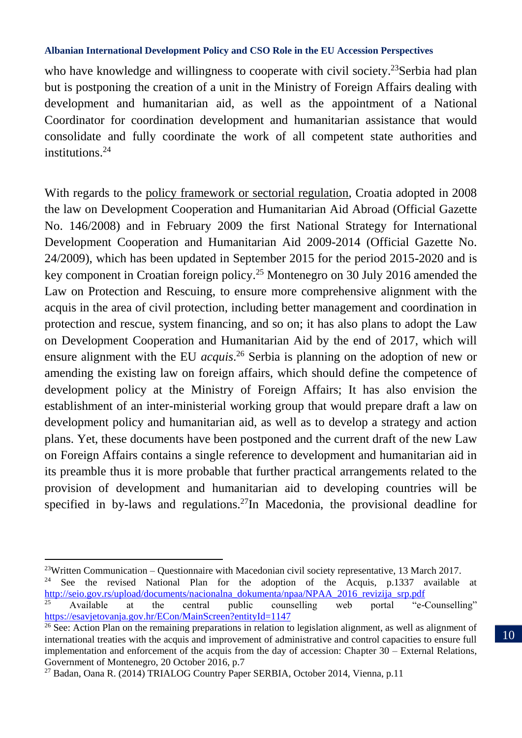who have knowledge and willingness to cooperate with civil society.<sup>23</sup>Serbia had plan but is postponing the creation of a unit in the Ministry of Foreign Affairs dealing with development and humanitarian aid, as well as the appointment of a National Coordinator for coordination development and humanitarian assistance that would consolidate and fully coordinate the work of all competent state authorities and institutions.<sup>24</sup>

With regards to the policy framework or sectorial regulation, Croatia adopted in 2008 the law on Development Cooperation and Humanitarian Aid Abroad (Official Gazette No. 146/2008) and in February 2009 the first National Strategy for International Development Cooperation and Humanitarian Aid 2009-2014 (Official Gazette No. 24/2009), which has been updated in September 2015 for the period 2015-2020 and is key component in Croatian foreign policy. <sup>25</sup> Montenegro on 30 July 2016 amended the Law on Protection and Rescuing, to ensure more comprehensive alignment with the acquis in the area of civil protection, including better management and coordination in protection and rescue, system financing, and so on; it has also plans to adopt the Law on Development Cooperation and Humanitarian Aid by the end of 2017, which will ensure alignment with the EU *acquis*. <sup>26</sup> Serbia is planning on the adoption of new or amending the existing law on foreign affairs, which should define the competence of development policy at the Ministry of Foreign Affairs; It has also envision the establishment of an inter-ministerial working group that would prepare draft a law on development policy and humanitarian aid, as well as to develop a strategy and action plans. Yet, these documents have been postponed and the current draft of the new Law on Foreign Affairs contains a single reference to development and humanitarian aid in its preamble thus it is more probable that further practical arrangements related to the provision of development and humanitarian aid to developing countries will be specified in by-laws and regulations.<sup>27</sup>In Macedonia, the provisional deadline for

 $\overline{\phantom{a}}$ 

 $23W$ ritten Communication – Questionnaire with Macedonian civil society representative, 13 March 2017. <sup>24</sup> See the revised National Plan for the adoption of the Acquis, p.1337 available at [http://seio.gov.rs/upload/documents/nacionalna\\_dokumenta/npaa/NPAA\\_2016\\_revizija\\_srp.pdf](http://seio.gov.rs/upload/documents/nacionalna_dokumenta/npaa/NPAA_2016_revizija_srp.pdf)<br><sup>25</sup> Available at the central public counselling web portal "e-

<sup>25</sup> Available at the central public counselling web portal "e-Counselling" <https://esavjetovanja.gov.hr/ECon/MainScreen?entityId=1147>

<sup>&</sup>lt;sup>26</sup> See: Action Plan on the remaining preparations in relation to legislation alignment, as well as alignment of international treaties with the acquis and improvement of administrative and control capacities to ensure full implementation and enforcement of the acquis from the day of accession: Chapter  $30 -$  External Relations, Government of Montenegro, 20 October 2016, p.7

<sup>27</sup> Badan, Oana R. (2014) TRIALOG Country Paper SERBIA, October 2014, Vienna, p.11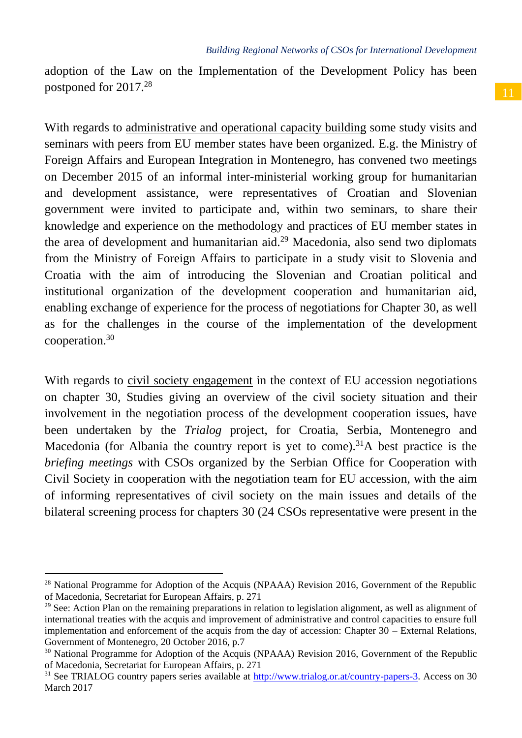adoption of the Law on the Implementation of the Development Policy has been postponed for 2017.<sup>28</sup>

With regards to administrative and operational capacity building some study visits and seminars with peers from EU member states have been organized. E.g. the Ministry of Foreign Affairs and European Integration in Montenegro, has convened two meetings on December 2015 of an informal inter-ministerial working group for humanitarian and development assistance, were representatives of Croatian and Slovenian government were invited to participate and, within two seminars, to share their knowledge and experience on the methodology and practices of EU member states in the area of development and humanitarian aid. $29$  Macedonia, also send two diplomats from the Ministry of Foreign Affairs to participate in a study visit to Slovenia and Croatia with the aim of introducing the Slovenian and Croatian political and institutional organization of the development cooperation and humanitarian aid, enabling exchange of experience for the process of negotiations for Chapter 30, as well as for the challenges in the course of the implementation of the development cooperation.<sup>30</sup>

With regards to civil society engagement in the context of EU accession negotiations on chapter 30, Studies giving an overview of the civil society situation and their involvement in the negotiation process of the development cooperation issues, have been undertaken by the *Trialog* project, for Croatia, Serbia, Montenegro and Macedonia (for Albania the country report is yet to come).<sup>31</sup>A best practice is the *briefing meetings* with CSOs organized by the Serbian Office for Cooperation with Civil Society in cooperation with the negotiation team for EU accession, with the aim of informing representatives of civil society on the main issues and details of the bilateral screening process for chapters 30 (24 CSOs representative were present in the

<sup>&</sup>lt;sup>28</sup> National Programme for Adoption of the Acquis (NPAAA) Revision 2016, Government of the Republic of Macedonia, Secretariat for European Affairs, p. 271

 $29$  See: Action Plan on the remaining preparations in relation to legislation alignment, as well as alignment of international treaties with the acquis and improvement of administrative and control capacities to ensure full implementation and enforcement of the acquis from the day of accession: Chapter  $30 -$  External Relations, Government of Montenegro, 20 October 2016, p.7

<sup>&</sup>lt;sup>30</sup> National Programme for Adoption of the Acquis (NPAAA) Revision 2016, Government of the Republic of Macedonia, Secretariat for European Affairs, p. 271

<sup>&</sup>lt;sup>31</sup> See TRIALOG country papers series available a[t http://www.trialog.or.at/country-papers-3.](http://www.trialog.or.at/country-papers-3) Access on 30 March 2017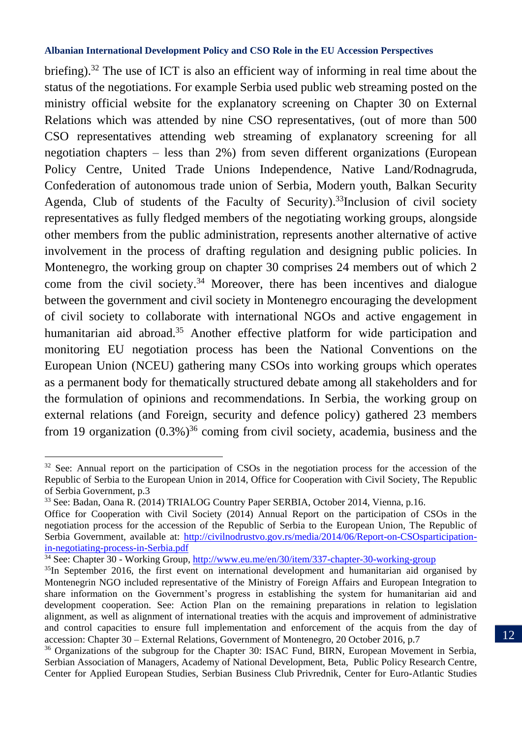briefing).<sup>32</sup> The use of ICT is also an efficient way of informing in real time about the status of the negotiations. For example Serbia used public web streaming posted on the ministry official website for the explanatory screening on Chapter 30 on External Relations which was attended by nine CSO representatives, (out of more than 500 CSO representatives attending web streaming of explanatory screening for all negotiation chapters – less than 2%) from seven different organizations (European Policy Centre, United Trade Unions Independence, Native Land/Rodnagruda, Confederation of autonomous trade union of Serbia, Modern youth, Balkan Security Agenda, Club of students of the Faculty of Security). <sup>33</sup>Inclusion of civil society representatives as fully fledged members of the negotiating working groups, alongside other members from the public administration, represents another alternative of active involvement in the process of drafting regulation and designing public policies. In Montenegro, the working group on chapter 30 comprises 24 members out of which 2 come from the civil society.<sup>34</sup> Moreover, there has been incentives and dialogue between the government and civil society in Montenegro encouraging the development of civil society to collaborate with international NGOs and active engagement in humanitarian aid abroad.<sup>35</sup> Another effective platform for wide participation and monitoring EU negotiation process has been the National Conventions on the European Union (NCEU) gathering many CSOs into working groups which operates as a permanent body for thematically structured debate among all stakeholders and for the formulation of opinions and recommendations. In Serbia, the working group on external relations (and Foreign, security and defence policy) gathered 23 members from 19 organization  $(0.3\%)^{36}$  coming from civil society, academia, business and the

 $32$  See: Annual report on the participation of CSOs in the negotiation process for the accession of the Republic of Serbia to the European Union in 2014, Office for Cooperation with Civil Society, The Republic of Serbia Government, p.3

<sup>33</sup> See: Badan, Oana R. (2014) TRIALOG Country Paper SERBIA, October 2014, Vienna, p.16.

Office for Cooperation with Civil Society (2014) Annual Report on the participation of CSOs in the negotiation process for the accession of the Republic of Serbia to the European Union, The Republic of Serbia Government, available at: [http://civilnodrustvo.gov.rs/media/2014/06/Report-on-CSOsparticipation](http://civilnodrustvo.gov.rs/media/2014/06/Report-on-CSOsparticipation-in-negotiating-process-in-Serbia.pdf)[in-negotiating-process-in-Serbia.pdf](http://civilnodrustvo.gov.rs/media/2014/06/Report-on-CSOsparticipation-in-negotiating-process-in-Serbia.pdf)

<sup>&</sup>lt;sup>34</sup> See: Chapter 30 - Working Group[, http://www.eu.me/en/30/item/337-chapter-30-working-group](http://www.eu.me/en/30/item/337-chapter-30-working-group)

<sup>&</sup>lt;sup>35</sup>In September 2016, the first event on international development and humanitarian aid organised by Montenegrin NGO included representative of the Ministry of Foreign Affairs and European Integration to share information on the Government's progress in establishing the system for humanitarian aid and development cooperation. See: Action Plan on the remaining preparations in relation to legislation alignment, as well as alignment of international treaties with the acquis and improvement of administrative and control capacities to ensure full implementation and enforcement of the acquis from the day of accession: Chapter 30 – External Relations, Government of Montenegro, 20 October 2016, p.7

<sup>&</sup>lt;sup>36</sup> Organizations of the subgroup for the Chapter 30: ISAC Fund, BIRN, European Movement in Serbia, Serbian Association of Managers, Academy of National Development, Beta, Public Policy Research Centre, Center for Applied European Studies, Serbian Business Club Privrednik, Center for Euro-Atlantic Studies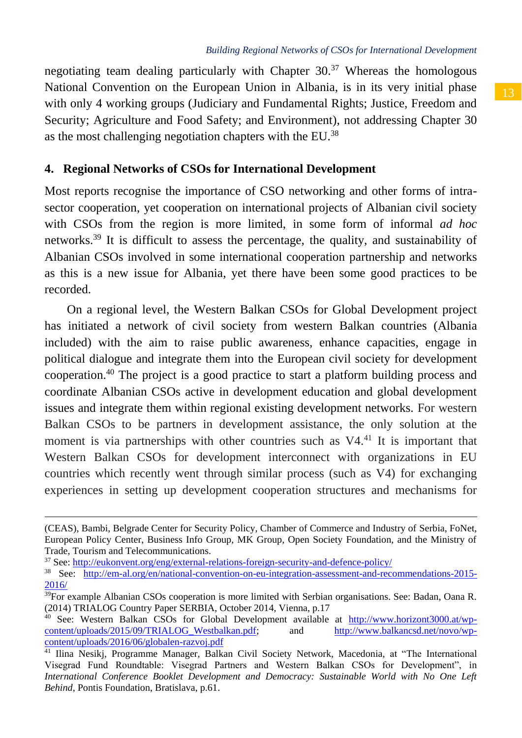negotiating team dealing particularly with Chapter  $30^{37}$  Whereas the homologous National Convention on the European Union in Albania, is in its very initial phase with only 4 working groups (Judiciary and Fundamental Rights; Justice, Freedom and Security; Agriculture and Food Safety; and Environment), not addressing Chapter 30 as the most challenging negotiation chapters with the EU.<sup>38</sup>

## **4. Regional Networks of CSOs for International Development**

Most reports recognise the importance of CSO networking and other forms of intrasector cooperation, yet cooperation on international projects of Albanian civil society with CSOs from the region is more limited, in some form of informal *ad hoc* networks. <sup>39</sup> It is difficult to assess the percentage, the quality, and sustainability of Albanian CSOs involved in some international cooperation partnership and networks as this is a new issue for Albania, yet there have been some good practices to be recorded.

On a regional level, the Western Balkan CSOs for Global Development project has initiated a network of civil society from western Balkan countries (Albania included) with the aim to raise public awareness, enhance capacities, engage in political dialogue and integrate them into the European civil society for development cooperation.<sup>40</sup> The project is a good practice to start a platform building process and coordinate Albanian CSOs active in development education and global development issues and integrate them within regional existing development networks. For western Balkan CSOs to be partners in development assistance, the only solution at the moment is via partnerships with other countries such as V4.<sup>41</sup> It is important that Western Balkan CSOs for development interconnect with organizations in EU countries which recently went through similar process (such as V4) for exchanging experiences in setting up development cooperation structures and mechanisms for

<sup>37</sup> See:<http://eukonvent.org/eng/external-relations-foreign-security-and-defence-policy/>

 $\overline{\phantom{a}}$ 

<sup>(</sup>CEAS), Bambi, Belgrade Center for Security Policy, Chamber of Commerce and Industry of Serbia, FoNet, European Policy Center, Business Info Group, MK Group, Open Society Foundation, and the Ministry of Trade, Tourism and Telecommunications.

<sup>38</sup> See: [http://em-al.org/en/national-convention-on-eu-integration-assessment-and-recommendations-2015-](http://em-al.org/en/national-convention-on-eu-integration-assessment-and-recommendations-2015-2016/) [2016/](http://em-al.org/en/national-convention-on-eu-integration-assessment-and-recommendations-2015-2016/)

<sup>&</sup>lt;sup>39</sup>For example Albanian CSOs cooperation is more limited with Serbian organisations. See: Badan, Oana R. (2014) TRIALOG Country Paper SERBIA, October 2014, Vienna, p.17

<sup>&</sup>lt;sup>40</sup> See: Western Balkan CSOs for Global Development available at  $\frac{http://www.horizon13000.at/wp-  
content/uploads/2015/09/TRIALOG Westbalkan.pdf$ ; and  $http://www.balkancsd.net/novo/wp$  $content/vploads/2015/09/TRIALOG_Westbalkan.pdf;$  and [content/uploads/2016/06/globalen-razvoj.pdf](http://www.balkancsd.net/novo/wp-content/uploads/2016/06/globalen-razvoj.pdf)

<sup>41</sup> Ilina Nesikj, Programme Manager, Balkan Civil Society Network, Macedonia, at "The International Visegrad Fund Roundtable: Visegrad Partners and Western Balkan CSOs for Development", in *International Conference Booklet Development and Democracy: Sustainable World with No One Left Behind,* Pontis Foundation, Bratislava, p.61.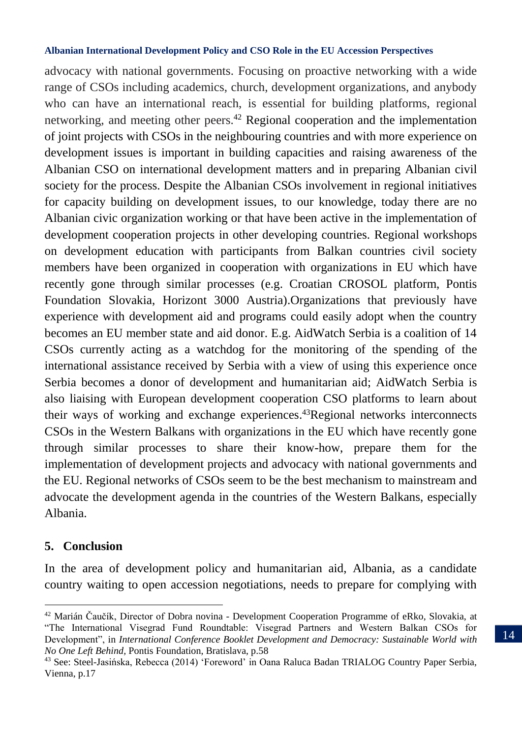advocacy with national governments. Focusing on proactive networking with a wide range of CSOs including academics, church, development organizations, and anybody who can have an international reach, is essential for building platforms, regional networking, and meeting other peers.<sup>42</sup> Regional cooperation and the implementation of joint projects with CSOs in the neighbouring countries and with more experience on development issues is important in building capacities and raising awareness of the Albanian CSO on international development matters and in preparing Albanian civil society for the process. Despite the Albanian CSOs involvement in regional initiatives for capacity building on development issues, to our knowledge, today there are no Albanian civic organization working or that have been active in the implementation of development cooperation projects in other developing countries. Regional workshops on development education with participants from Balkan countries civil society members have been organized in cooperation with organizations in EU which have recently gone through similar processes (e.g. Croatian CROSOL platform, Pontis Foundation Slovakia, Horizont 3000 Austria).Organizations that previously have experience with development aid and programs could easily adopt when the country becomes an EU member state and aid donor. E.g. AidWatch Serbia is a coalition of 14 CSOs currently acting as a watchdog for the monitoring of the spending of the international assistance received by Serbia with a view of using this experience once Serbia becomes a donor of development and humanitarian aid; AidWatch Serbia is also liaising with European development cooperation CSO platforms to learn about their ways of working and exchange experiences. <sup>43</sup>Regional networks interconnects CSOs in the Western Balkans with organizations in the EU which have recently gone through similar processes to share their know-how, prepare them for the implementation of development projects and advocacy with national governments and the EU. Regional networks of CSOs seem to be the best mechanism to mainstream and advocate the development agenda in the countries of the Western Balkans, especially Albania.

## **5. Conclusion**

 $\overline{\phantom{a}}$ 

In the area of development policy and humanitarian aid, Albania, as a candidate country waiting to open accession negotiations, needs to prepare for complying with

<sup>42</sup> Marián Čaučík, Director of Dobra novina - Development Cooperation Programme of eRko, Slovakia, at "The International Visegrad Fund Roundtable: Visegrad Partners and Western Balkan CSOs for Development", in *International Conference Booklet Development and Democracy: Sustainable World with No One Left Behind,* Pontis Foundation, Bratislava, p.58

<sup>43</sup> See: Steel-Jasińska, Rebecca (2014) 'Foreword' in Oana Raluca Badan TRIALOG Country Paper Serbia, Vienna, p.17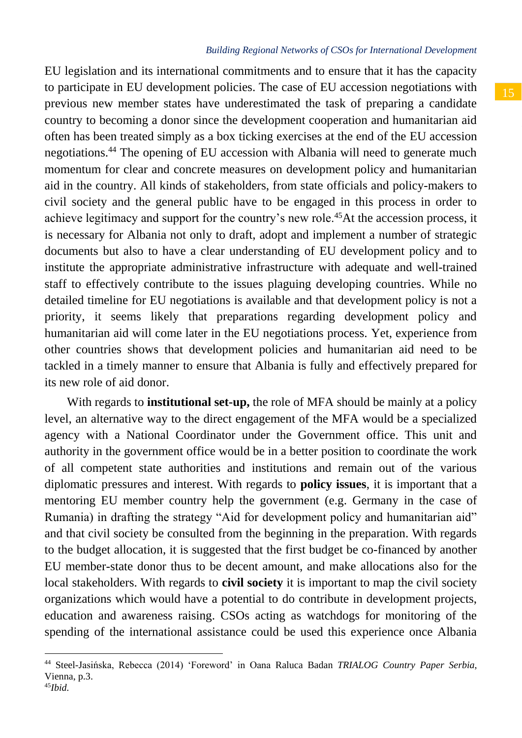## *Building Regional Networks of CSOs for International Development*

EU legislation and its international commitments and to ensure that it has the capacity to participate in EU development policies. The case of EU accession negotiations with previous new member states have underestimated the task of preparing a candidate country to becoming a donor since the development cooperation and humanitarian aid often has been treated simply as a box ticking exercises at the end of the EU accession negotiations.<sup>44</sup> The opening of EU accession with Albania will need to generate much momentum for clear and concrete measures on development policy and humanitarian aid in the country. All kinds of stakeholders, from state officials and policy-makers to civil society and the general public have to be engaged in this process in order to achieve legitimacy and support for the country's new role.<sup>45</sup>At the accession process, it is necessary for Albania not only to draft, adopt and implement a number of strategic documents but also to have a clear understanding of EU development policy and to institute the appropriate administrative infrastructure with adequate and well-trained staff to effectively contribute to the issues plaguing developing countries. While no detailed timeline for EU negotiations is available and that development policy is not a priority, it seems likely that preparations regarding development policy and humanitarian aid will come later in the EU negotiations process. Yet, experience from other countries shows that development policies and humanitarian aid need to be tackled in a timely manner to ensure that Albania is fully and effectively prepared for its new role of aid donor.

With regards to **institutional set-up**, the role of MFA should be mainly at a policy level, an alternative way to the direct engagement of the MFA would be a specialized agency with a National Coordinator under the Government office. This unit and authority in the government office would be in a better position to coordinate the work of all competent state authorities and institutions and remain out of the various diplomatic pressures and interest. With regards to **policy issues**, it is important that a mentoring EU member country help the government (e.g. Germany in the case of Rumania) in drafting the strategy "Aid for development policy and humanitarian aid" and that civil society be consulted from the beginning in the preparation. With regards to the budget allocation, it is suggested that the first budget be co-financed by another EU member-state donor thus to be decent amount, and make allocations also for the local stakeholders. With regards to **civil society** it is important to map the civil society organizations which would have a potential to do contribute in development projects, education and awareness raising. CSOs acting as watchdogs for monitoring of the spending of the international assistance could be used this experience once Albania

<sup>44</sup> Steel-Jasińska, Rebecca (2014) 'Foreword' in Oana Raluca Badan *TRIALOG Country Paper Serbia*, Vienna, p.3.

<sup>45</sup>*Ibid.*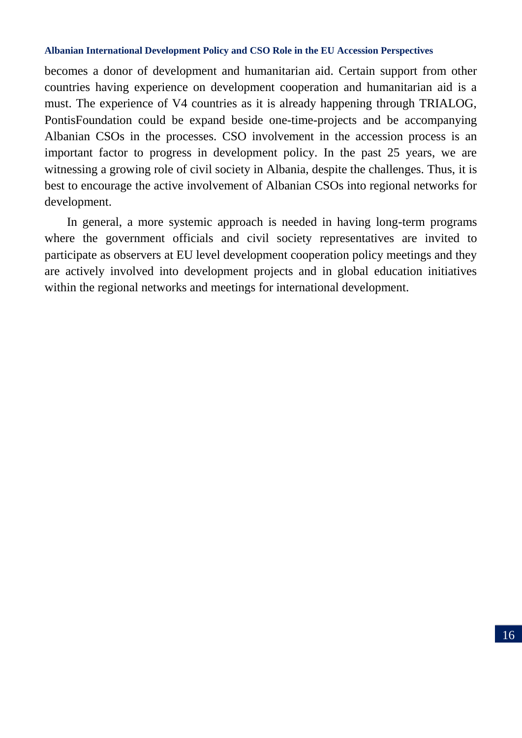becomes a donor of development and humanitarian aid. Certain support from other countries having experience on development cooperation and humanitarian aid is a must. The experience of V4 countries as it is already happening through TRIALOG, PontisFoundation could be expand beside one-time-projects and be accompanying Albanian CSOs in the processes. CSO involvement in the accession process is an important factor to progress in development policy. In the past 25 years, we are witnessing a growing role of civil society in Albania, despite the challenges. Thus, it is best to encourage the active involvement of Albanian CSOs into regional networks for development.

In general, a more systemic approach is needed in having long-term programs where the government officials and civil society representatives are invited to participate as observers at EU level development cooperation policy meetings and they are actively involved into development projects and in global education initiatives within the regional networks and meetings for international development.